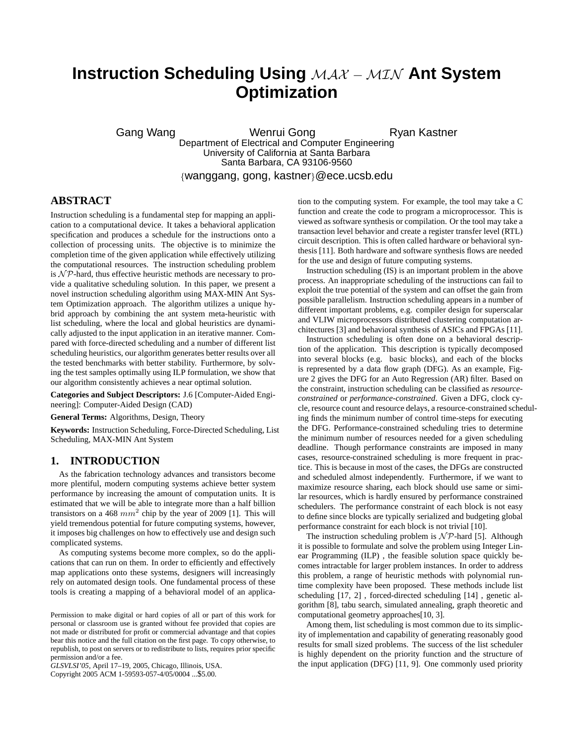# **Instruction Scheduling Using** MAX − MIN **Ant System Optimization**

Gang Wang **Mang Menrui Gong Ryan Kastner** Department of Electrical and Computer Engineering

Santa Barbara, CA 93106-9560 {wanggang, gong, kastner}@ece.ucsb.edu

University of California at Santa Barbara

## **ABSTRACT**

Instruction scheduling is a fundamental step for mapping an application to a computational device. It takes a behavioral application specification and produces a schedule for the instructions onto a collection of processing units. The objective is to minimize the completion time of the given application while effectively utilizing the computational resources. The instruction scheduling problem is  $N \mathcal{P}$ -hard, thus effective heuristic methods are necessary to provide a qualitative scheduling solution. In this paper, we present a novel instruction scheduling algorithm using MAX-MIN Ant System Optimization approach. The algorithm utilizes a unique hybrid approach by combining the ant system meta-heuristic with list scheduling, where the local and global heuristics are dynamically adjusted to the input application in an iterative manner. Compared with force-directed scheduling and a number of different list scheduling heuristics, our algorithm generates better results over all the tested benchmarks with better stability. Furthermore, by solving the test samples optimally using ILP formulation, we show that our algorithm consistently achieves a near optimal solution.

**Categories and Subject Descriptors:** J.6 [Computer-Aided Engineering]: Computer-Aided Design (CAD)

**General Terms:** Algorithms, Design, Theory

**Keywords:** Instruction Scheduling, Force-Directed Scheduling, List Scheduling, MAX-MIN Ant System

#### **1. INTRODUCTION**

As the fabrication technology advances and transistors become more plentiful, modern computing systems achieve better system performance by increasing the amount of computation units. It is estimated that we will be able to integrate more than a half billion transistors on a 468  $mm^2$  chip by the year of 2009 [1]. This will yield tremendous potential for future computing systems, however, it imposes big challenges on how to effectively use and design such complicated systems.

As computing systems become more complex, so do the applications that can run on them. In order to efficiently and effectively map applications onto these systems, designers will increasingly rely on automated design tools. One fundamental process of these tools is creating a mapping of a behavioral model of an applica-

Copyright 2005 ACM 1-59593-057-4/05/0004 ...\$5.00.

tion to the computing system. For example, the tool may take a C function and create the code to program a microprocessor. This is viewed as software synthesis or compilation. Or the tool may take a transaction level behavior and create a register transfer level (RTL) circuit description. This is often called hardware or behavioral synthesis [11]. Both hardware and software synthesis flows are needed for the use and design of future computing systems.

Instruction scheduling (IS) is an important problem in the above process. An inappropriate scheduling of the instructions can fail to exploit the true potential of the system and can offset the gain from possible parallelism. Instruction scheduling appears in a number of different important problems, e.g. compiler design for superscalar and VLIW microprocessors distributed clustering computation architectures [3] and behavioral synthesis of ASICs and FPGAs [11].

Instruction scheduling is often done on a behavioral description of the application. This description is typically decomposed into several blocks (e.g. basic blocks), and each of the blocks is represented by a data flow graph (DFG). As an example, Figure 2 gives the DFG for an Auto Regression (AR) filter. Based on the constraint, instruction scheduling can be classified as *resourceconstrained* or *performance-constrained*. Given a DFG, clock cycle, resource count and resource delays, a resource-constrained scheduling finds the minimum number of control time-steps for executing the DFG. Performance-constrained scheduling tries to determine the minimum number of resources needed for a given scheduling deadline. Though performance constraints are imposed in many cases, resource-constrained scheduling is more frequent in practice. This is because in most of the cases, the DFGs are constructed and scheduled almost independently. Furthermore, if we want to maximize resource sharing, each block should use same or similar resources, which is hardly ensured by performance constrained schedulers. The performance constraint of each block is not easy to define since blocks are typically serialized and budgeting global performance constraint for each block is not trivial [10].

The instruction scheduling problem is  $N \mathcal{P}$ -hard [5]. Although it is possible to formulate and solve the problem using Integer Linear Programming (ILP) , the feasible solution space quickly becomes intractable for larger problem instances. In order to address this problem, a range of heuristic methods with polynomial runtime complexity have been proposed. These methods include list scheduling [17, 2] , forced-directed scheduling [14] , genetic algorithm [8], tabu search, simulated annealing, graph theoretic and computational geometry approaches[10, 3].

Among them, list scheduling is most common due to its simplicity of implementation and capability of generating reasonably good results for small sized problems. The success of the list scheduler is highly dependent on the priority function and the structure of the input application (DFG) [11, 9]. One commonly used priority

Permission to make digital or hard copies of all or part of this work for personal or classroom use is granted without fee provided that copies are not made or distributed for profit or commercial advantage and that copies bear this notice and the full citation on the first page. To copy otherwise, to republish, to post on servers or to redistribute to lists, requires prior specific permission and/or a fee.

*GLSVLSI'05,* April 17–19, 2005, Chicago, Illinois, USA.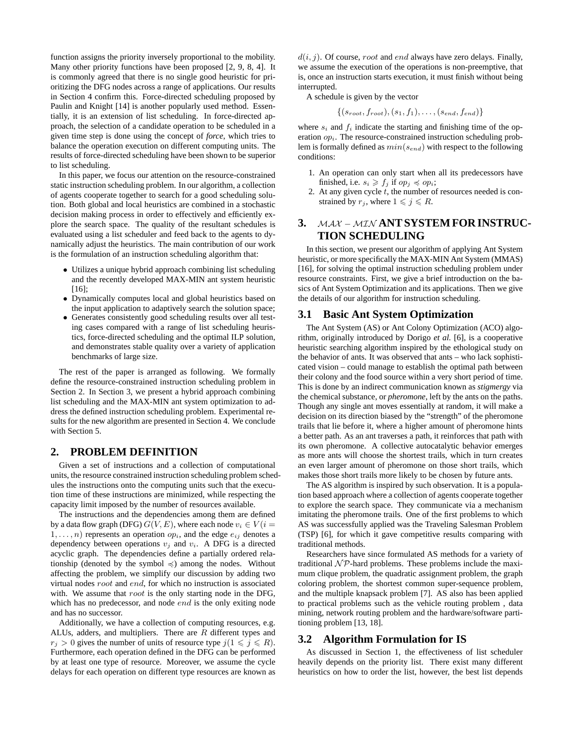function assigns the priority inversely proportional to the mobility. Many other priority functions have been proposed [2, 9, 8, 4]. It is commonly agreed that there is no single good heuristic for prioritizing the DFG nodes across a range of applications. Our results in Section 4 confirm this. Force-directed scheduling proposed by Paulin and Knight [14] is another popularly used method. Essentially, it is an extension of list scheduling. In force-directed approach, the selection of a candidate operation to be scheduled in a given time step is done using the concept of *force*, which tries to balance the operation execution on different computing units. The results of force-directed scheduling have been shown to be superior to list scheduling.

In this paper, we focus our attention on the resource-constrained static instruction scheduling problem. In our algorithm, a collection of agents cooperate together to search for a good scheduling solution. Both global and local heuristics are combined in a stochastic decision making process in order to effectively and efficiently explore the search space. The quality of the resultant schedules is evaluated using a list scheduler and feed back to the agents to dynamically adjust the heuristics. The main contribution of our work is the formulation of an instruction scheduling algorithm that:

- Utilizes a unique hybrid approach combining list scheduling and the recently developed MAX-MIN ant system heuristic [16];
- Dynamically computes local and global heuristics based on the input application to adaptively search the solution space;
- Generates consistently good scheduling results over all testing cases compared with a range of list scheduling heuristics, force-directed scheduling and the optimal ILP solution, and demonstrates stable quality over a variety of application benchmarks of large size.

The rest of the paper is arranged as following. We formally define the resource-constrained instruction scheduling problem in Section 2. In Section 3, we present a hybrid approach combining list scheduling and the MAX-MIN ant system optimization to address the defined instruction scheduling problem. Experimental results for the new algorithm are presented in Section 4. We conclude with Section 5.

## **2. PROBLEM DEFINITION**

Given a set of instructions and a collection of computational units, the resource constrained instruction scheduling problem schedules the instructions onto the computing units such that the execution time of these instructions are minimized, while respecting the capacity limit imposed by the number of resources available.

The instructions and the dependencies among them are defined by a data flow graph (DFG)  $G(V, E)$ , where each node  $v_i \in V(i =$  $1, \ldots, n$  represents an operation  $op_i$ , and the edge  $e_{ij}$  denotes a dependency between operations  $v_i$  and  $v_i$ . A DFG is a directed acyclic graph. The dependencies define a partially ordered relationship (denoted by the symbol  $\preccurlyeq$ ) among the nodes. Without affecting the problem, we simplify our discussion by adding two virtual nodes root and end, for which no instruction is associated with. We assume that *root* is the only starting node in the DFG, which has no predecessor, and node *end* is the only exiting node and has no successor.

Additionally, we have a collection of computing resources, e.g. ALUs, adders, and multipliers. There are R different types and  $r_j > 0$  gives the number of units of resource type  $j(1 \leq j \leq R)$ . Furthermore, each operation defined in the DFG can be performed by at least one type of resource. Moreover, we assume the cycle delays for each operation on different type resources are known as

 $d(i, j)$ . Of course, *root* and *end* always have zero delays. Finally, we assume the execution of the operations is non-preemptive, that is, once an instruction starts execution, it must finish without being interrupted.

A schedule is given by the vector

$$
\{(s_{root}, f_{root}), (s_1, f_1), \ldots, (s_{end}, f_{end})\}
$$

where  $s_i$  and  $f_i$  indicate the starting and finishing time of the operation  $op_i$ . The resource-constrained instruction scheduling problem is formally defined as  $min(s_{end})$  with respect to the following conditions:

- 1. An operation can only start when all its predecessors have finished, i.e.  $s_i \geq f_j$  if  $op_j \preccurlyeq op_i$ ;
- 2. At any given cycle  $\dot{t}$ , the number of resources needed is constrained by  $r_j$ , where  $1 \leq j \leq R$ .

## **3.** MAX − MIN **ANT SYSTEM FOR INSTRUC-TION SCHEDULING**

In this section, we present our algorithm of applying Ant System heuristic, or more specifically the MAX-MIN Ant System (MMAS) [16], for solving the optimal instruction scheduling problem under resource constraints. First, we give a brief introduction on the basics of Ant System Optimization and its applications. Then we give the details of our algorithm for instruction scheduling.

## **3.1 Basic Ant System Optimization**

The Ant System (AS) or Ant Colony Optimization (ACO) algorithm, originally introduced by Dorigo *et al.* [6], is a cooperative heuristic searching algorithm inspired by the ethological study on the behavior of ants. It was observed that ants – who lack sophisticated vision – could manage to establish the optimal path between their colony and the food source within a very short period of time. This is done by an indirect communication known as *stigmergy* via the chemical substance, or *pheromone*, left by the ants on the paths. Though any single ant moves essentially at random, it will make a decision on its direction biased by the "strength" of the pheromone trails that lie before it, where a higher amount of pheromone hints a better path. As an ant traverses a path, it reinforces that path with its own pheromone. A collective autocatalytic behavior emerges as more ants will choose the shortest trails, which in turn creates an even larger amount of pheromone on those short trails, which makes those short trails more likely to be chosen by future ants.

The AS algorithm is inspired by such observation. It is a population based approach where a collection of agents cooperate together to explore the search space. They communicate via a mechanism imitating the pheromone trails. One of the first problems to which AS was successfully applied was the Traveling Salesman Problem (TSP) [6], for which it gave competitive results comparing with traditional methods.

Researchers have since formulated AS methods for a variety of traditional  $N \mathcal{P}$ -hard problems. These problems include the maximum clique problem, the quadratic assignment problem, the graph coloring problem, the shortest common super-sequence problem, and the multiple knapsack problem [7]. AS also has been applied to practical problems such as the vehicle routing problem , data mining, network routing problem and the hardware/software partitioning problem [13, 18].

## **3.2 Algorithm Formulation for IS**

As discussed in Section 1, the effectiveness of list scheduler heavily depends on the priority list. There exist many different heuristics on how to order the list, however, the best list depends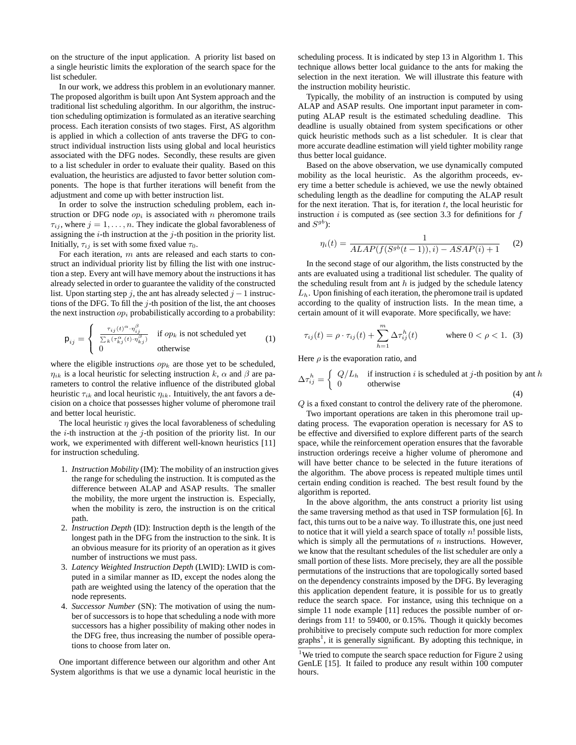on the structure of the input application. A priority list based on a single heuristic limits the exploration of the search space for the list scheduler.

In our work, we address this problem in an evolutionary manner. The proposed algorithm is built upon Ant System approach and the traditional list scheduling algorithm. In our algorithm, the instruction scheduling optimization is formulated as an iterative searching process. Each iteration consists of two stages. First, AS algorithm is applied in which a collection of ants traverse the DFG to construct individual instruction lists using global and local heuristics associated with the DFG nodes. Secondly, these results are given to a list scheduler in order to evaluate their quality. Based on this evaluation, the heuristics are adjusted to favor better solution components. The hope is that further iterations will benefit from the adjustment and come up with better instruction list.

In order to solve the instruction scheduling problem, each instruction or DFG node  $op_i$  is associated with n pheromone trails  $\tau_{ij}$ , where  $j = 1, \ldots, n$ . They indicate the global favorableness of assigning the  $i$ -th instruction at the  $j$ -th position in the priority list. Initially,  $\tau_{ij}$  is set with some fixed value  $\tau_0$ .

For each iteration, m ants are released and each starts to construct an individual priority list by filling the list with one instruction a step. Every ant will have memory about the instructions it has already selected in order to guarantee the validity of the constructed list. Upon starting step j, the ant has already selected  $j - 1$  instructions of the DFG. To fill the  $j$ -th position of the list, the ant chooses the next instruction  $op_i$  probabilistically according to a probability:

$$
\mathsf{p}_{ij} = \begin{cases}\n\frac{\tau_{ij}(t)^{\alpha} \cdot \eta_{ij}^{\beta}}{\sum_{k} (\tau_{kj}^{\alpha}(t) \cdot \eta_{kj}^{\beta})} & \text{if } op_k \text{ is not scheduled yet} \\
0 & \text{otherwise}\n\end{cases}
$$
\n(1)

where the eligible instructions  $op<sub>k</sub>$  are those yet to be scheduled,  $\eta_{ik}$  is a local heuristic for selecting instruction k,  $\alpha$  and  $\beta$  are parameters to control the relative influence of the distributed global heuristic  $\tau_{ik}$  and local heuristic  $\eta_{ik}$ . Intuitively, the ant favors a decision on a choice that possesses higher volume of pheromone trail and better local heuristic.

The local heuristic  $\eta$  gives the local favorableness of scheduling the  $i$ -th instruction at the  $j$ -th position of the priority list. In our work, we experimented with different well-known heuristics [11] for instruction scheduling.

- 1. *Instruction Mobility* (IM): The mobility of an instruction gives the range for scheduling the instruction. It is computed as the difference between ALAP and ASAP results. The smaller the mobility, the more urgent the instruction is. Especially, when the mobility is zero, the instruction is on the critical path.
- 2. *Instruction Depth* (ID): Instruction depth is the length of the longest path in the DFG from the instruction to the sink. It is an obvious measure for its priority of an operation as it gives number of instructions we must pass.
- 3. *Latency Weighted Instruction Depth* (LWID): LWID is computed in a similar manner as ID, except the nodes along the path are weighted using the latency of the operation that the node represents.
- 4. *Successor Number* (SN): The motivation of using the number of successors is to hope that scheduling a node with more successors has a higher possibility of making other nodes in the DFG free, thus increasing the number of possible operations to choose from later on.

One important difference between our algorithm and other Ant System algorithms is that we use a dynamic local heuristic in the scheduling process. It is indicated by step 13 in Algorithm 1. This technique allows better local guidance to the ants for making the selection in the next iteration. We will illustrate this feature with the instruction mobility heuristic.

Typically, the mobility of an instruction is computed by using ALAP and ASAP results. One important input parameter in computing ALAP result is the estimated scheduling deadline. This deadline is usually obtained from system specifications or other quick heuristic methods such as a list scheduler. It is clear that more accurate deadline estimation will yield tighter mobility range thus better local guidance.

Based on the above observation, we use dynamically computed mobility as the local heuristic. As the algorithm proceeds, every time a better schedule is achieved, we use the newly obtained scheduling length as the deadline for computing the ALAP result for the next iteration. That is, for iteration  $t$ , the local heuristic for instruction  $i$  is computed as (see section 3.3 for definitions for  $f$ and  $S^{gb}$ ):

$$
\eta_i(t) = \frac{1}{ALAP(f(S^{gb}(t-1)), i) - ASAP(i) + 1} \tag{2}
$$

In the second stage of our algorithm, the lists constructed by the ants are evaluated using a traditional list scheduler. The quality of the scheduling result from ant  $h$  is judged by the schedule latency  $L<sub>h</sub>$ . Upon finishing of each iteration, the pheromone trail is updated according to the quality of instruction lists. In the mean time, a certain amount of it will evaporate. More specifically, we have:

$$
\tau_{ij}(t) = \rho \cdot \tau_{ij}(t) + \sum_{h=1}^{m} \Delta \tau_{ij}^{h}(t) \quad \text{where } 0 < \rho < 1. \tag{3}
$$

Here  $\rho$  is the evaporation ratio, and

$$
\Delta \tau_{ij}^h = \begin{cases} Q/L_h & \text{if instruction } i \text{ is scheduled at } j\text{-th position by ant } h \\ 0 & \text{otherwise} \end{cases}
$$
\n(4)

Q is a fixed constant to control the delivery rate of the pheromone.

Two important operations are taken in this pheromone trail updating process. The evaporation operation is necessary for AS to be effective and diversified to explore different parts of the search space, while the reinforcement operation ensures that the favorable instruction orderings receive a higher volume of pheromone and will have better chance to be selected in the future iterations of the algorithm. The above process is repeated multiple times until certain ending condition is reached. The best result found by the algorithm is reported.

In the above algorithm, the ants construct a priority list using the same traversing method as that used in TSP formulation [6]. In fact, this turns out to be a naive way. To illustrate this, one just need to notice that it will yield a search space of totally  $n!$  possible lists, which is simply all the permutations of  $n$  instructions. However, we know that the resultant schedules of the list scheduler are only a small portion of these lists. More precisely, they are all the possible permutations of the instructions that are topologically sorted based on the dependency constraints imposed by the DFG. By leveraging this application dependent feature, it is possible for us to greatly reduce the search space. For instance, using this technique on a simple 11 node example [11] reduces the possible number of orderings from 11! to 59400, or 0.15%. Though it quickly becomes prohibitive to precisely compute such reduction for more complex graphs<sup>1</sup>, it is generally significant. By adopting this technique, in

<sup>&</sup>lt;sup>1</sup>We tried to compute the search space reduction for Figure 2 using GenLE [15]. It failed to produce any result within 100 computer hours.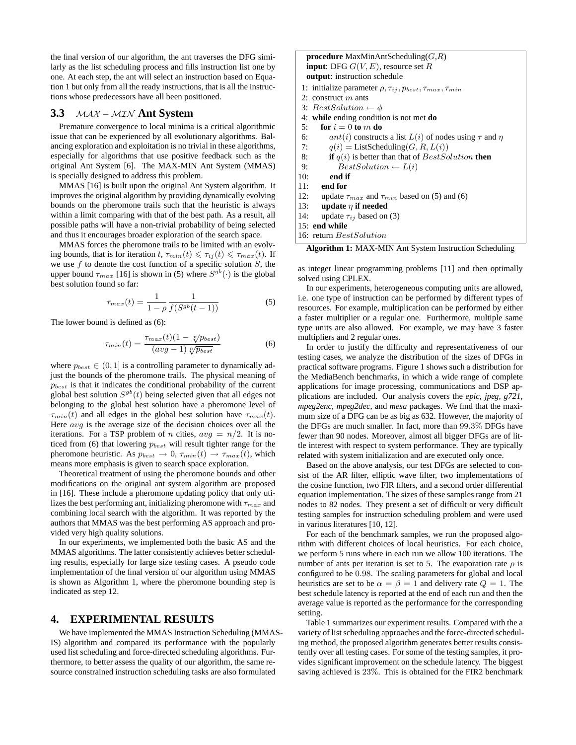the final version of our algorithm, the ant traverses the DFG similarly as the list scheduling process and fills instruction list one by one. At each step, the ant will select an instruction based on Equation 1 but only from all the ready instructions, that is all the instructions whose predecessors have all been positioned.

### **3.3** MAX − MIN **Ant System**

Premature convergence to local minima is a critical algorithmic issue that can be experienced by all evolutionary algorithms. Balancing exploration and exploitation is no trivial in these algorithms, especially for algorithms that use positive feedback such as the original Ant System [6]. The MAX-MIN Ant System (MMAS) is specially designed to address this problem.

MMAS [16] is built upon the original Ant System algorithm. It improves the original algorithm by providing dynamically evolving bounds on the pheromone trails such that the heuristic is always within a limit comparing with that of the best path. As a result, all possible paths will have a non-trivial probability of being selected and thus it encourages broader exploration of the search space.

MMAS forces the pheromone trails to be limited with an evolving bounds, that is for iteration  $t, \tau_{min}(t) \leq \tau_{ij}(t) \leq \tau_{max}(t)$ . If we use  $f$  to denote the cost function of a specific solution  $S$ , the upper bound  $\tau_{max}$  [16] is shown in (5) where  $S^{gb}(\cdot)$  is the global best solution found so far:

$$
\tau_{max}(t) = \frac{1}{1 - \rho} \frac{1}{f(S^{gb}(t - 1))}
$$
\n(5)

The lower bound is defined as (6):

$$
\tau_{min}(t) = \frac{\tau_{max}(t)(1 - \sqrt[n]{p_{best}})}{(avg - 1)\sqrt[n]{p_{best}}}
$$
\n(6)

where  $p_{best} \in (0, 1]$  is a controlling parameter to dynamically adjust the bounds of the pheromone trails. The physical meaning of  $p_{best}$  is that it indicates the conditional probability of the current global best solution  $S^{gb}(t)$  being selected given that all edges not belonging to the global best solution have a pheromone level of  $\tau_{min}(t)$  and all edges in the global best solution have  $\tau_{max}(t)$ . Here  $avg$  is the average size of the decision choices over all the iterations. For a TSP problem of n cities,  $avg = n/2$ . It is noticed from (6) that lowering  $p_{best}$  will result tighter range for the pheromone heuristic. As  $p_{best} \rightarrow 0$ ,  $\tau_{min}(t) \rightarrow \tau_{max}(t)$ , which means more emphasis is given to search space exploration.

Theoretical treatment of using the pheromone bounds and other modifications on the original ant system algorithm are proposed in [16]. These include a pheromone updating policy that only utilizes the best performing ant, initializing pheromone with  $\tau_{max}$  and combining local search with the algorithm. It was reported by the authors that MMAS was the best performing AS approach and provided very high quality solutions.

In our experiments, we implemented both the basic AS and the MMAS algorithms. The latter consistently achieves better scheduling results, especially for large size testing cases. A pseudo code implementation of the final version of our algorithm using MMAS is shown as Algorithm 1, where the pheromone bounding step is indicated as step 12.

#### **4. EXPERIMENTAL RESULTS**

We have implemented the MMAS Instruction Scheduling (MMAS-IS) algorithm and compared its performance with the popularly used list scheduling and force-directed scheduling algorithms. Furthermore, to better assess the quality of our algorithm, the same resource constrained instruction scheduling tasks are also formulated

| <b>procedure</b> MaxMinAntScheduling( $G, R$ )                              |  |  |  |  |  |  |  |  |  |
|-----------------------------------------------------------------------------|--|--|--|--|--|--|--|--|--|
| <b>input:</b> DFG $G(V, E)$ , resource set R                                |  |  |  |  |  |  |  |  |  |
| <b>output:</b> instruction schedule                                         |  |  |  |  |  |  |  |  |  |
| 1: initialize parameter $\rho, \tau_{ij}, p_{best}, \tau_{max}, \tau_{min}$ |  |  |  |  |  |  |  |  |  |
| 2: construct $m$ ants                                                       |  |  |  |  |  |  |  |  |  |
| 3: BestSolution $\leftarrow \phi$                                           |  |  |  |  |  |  |  |  |  |
| 4: while ending condition is not met do                                     |  |  |  |  |  |  |  |  |  |
| for $i=0$ to m do<br>5:                                                     |  |  |  |  |  |  |  |  |  |
| ant(i) constructs a list $L(i)$ of nodes using $\tau$ and $\eta$<br>6:      |  |  |  |  |  |  |  |  |  |
| $q(i)$ = ListScheduling(G, R, $L(i)$ )<br>7:                                |  |  |  |  |  |  |  |  |  |
| 8: <b>if</b> $q(i)$ is better than that of <i>BestSolution</i> then         |  |  |  |  |  |  |  |  |  |
| 9:<br>$BestSolution \leftarrow L(i)$                                        |  |  |  |  |  |  |  |  |  |
| 10:<br>end if                                                               |  |  |  |  |  |  |  |  |  |
| $11:$ end for                                                               |  |  |  |  |  |  |  |  |  |
| 12: update $\tau_{max}$ and $\tau_{min}$ based on (5) and (6)               |  |  |  |  |  |  |  |  |  |
| 13: update $\eta$ if needed                                                 |  |  |  |  |  |  |  |  |  |
| 14: update $\tau_{ij}$ based on (3)                                         |  |  |  |  |  |  |  |  |  |
| 15: end while                                                               |  |  |  |  |  |  |  |  |  |

16: return BestSolution

**Algorithm 1:** MAX-MIN Ant System Instruction Scheduling

as integer linear programming problems [11] and then optimally solved using CPLEX.

In our experiments, heterogeneous computing units are allowed, i.e. one type of instruction can be performed by different types of resources. For example, multiplication can be performed by either a faster multiplier or a regular one. Furthermore, multiple same type units are also allowed. For example, we may have 3 faster multipliers and 2 regular ones.

In order to justify the difficulty and representativeness of our testing cases, we analyze the distribution of the sizes of DFGs in practical software programs. Figure 1 shows such a distribution for the MediaBench benchmarks, in which a wide range of complete applications for image processing, communications and DSP applications are included. Our analysis covers the *epic, jpeg, g721, mpeg2enc, mpeg2dec*, and *mesa* packages. We find that the maximum size of a DFG can be as big as 632. However, the majority of the DFGs are much smaller. In fact, more than 99.3% DFGs have fewer than 90 nodes. Moreover, almost all bigger DFGs are of little interest with respect to system performance. They are typically related with system initialization and are executed only once.

Based on the above analysis, our test DFGs are selected to consist of the AR filter, elliptic wave filter, two implementations of the cosine function, two FIR filters, and a second order differential equation implementation. The sizes of these samples range from 21 nodes to 82 nodes. They present a set of difficult or very difficult testing samples for instruction scheduling problem and were used in various literatures [10, 12].

For each of the benchmark samples, we run the proposed algorithm with different choices of local heuristics. For each choice, we perform 5 runs where in each run we allow 100 iterations. The number of ants per iteration is set to 5. The evaporation rate  $\rho$  is configured to be 0.98. The scaling parameters for global and local heuristics are set to be  $\alpha = \beta = 1$  and delivery rate  $Q = 1$ . The best schedule latency is reported at the end of each run and then the average value is reported as the performance for the corresponding setting.

Table 1 summarizes our experiment results. Compared with the a variety of list scheduling approaches and the force-directed scheduling method, the proposed algorithm generates better results consistently over all testing cases. For some of the testing samples, it provides significant improvement on the schedule latency. The biggest saving achieved is 23%. This is obtained for the FIR2 benchmark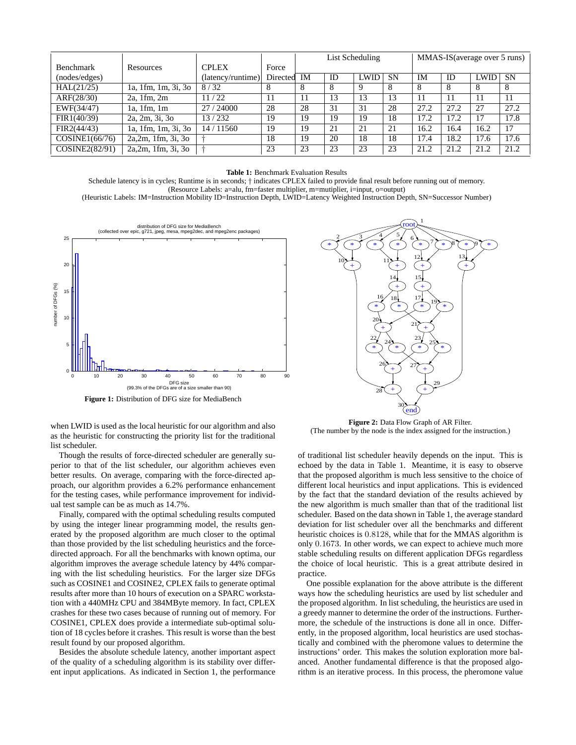|                  |                     |                   |              | List Scheduling |    |             | MMAS-IS (average over 5 runs) |      |      |             |           |
|------------------|---------------------|-------------------|--------------|-----------------|----|-------------|-------------------------------|------|------|-------------|-----------|
| <b>Benchmark</b> | Resources           | <b>CPLEX</b>      | Force        |                 |    |             |                               |      |      |             |           |
| (nodes/edges)    |                     | (latency/runtime) | Directed     | IM              | ID | <b>LWID</b> | <b>SN</b>                     | IM   | ID   | <b>LWID</b> | <b>SN</b> |
| HAL(21/25)       | 1a, 1fm, 1m, 3i, 3o | 8/32              | <sup>8</sup> | 8               | 8  | 9           | 8                             | 8    | 8    |             | 8         |
| ARF(28/30)       | $2a$ , 1fm, $2m$    | 11/22             |              |                 | 13 |             | 13                            |      |      |             | 11        |
| EWF(34/47)       | $1a$ , $1fm$ , $1m$ | 27/24000          | 28           | 28              | 31 | 31          | 28                            | 27.2 | 27.2 | 27          | 27.2      |
| FIR1(40/39)      | 2a, 2m, 3i, 3o      | 13/232            | 19           | 19              | 19 | 19          | 18                            | 17.2 | 17.2 |             | 17.8      |
| FIR2(44/43)      | 1a, 1fm, 1m, 3i, 3o | 14/11560          | 19           | 19              | 21 | 21          | 21                            | 16.2 | 16.4 | 16.2        | 17        |
| COSINE1(66/76)   | 2a, 2m, 1fm, 3i, 3o |                   | 18           | 19              | 20 | 18          | 18                            | 17.4 | 18.2 | l7.6        | 17.6      |
| COSINE2(82/91)   | 2a, 2m, 1fm, 3i, 3o |                   | 23           | 23              | 23 | 23          | 23                            | 21.2 | 21.2 | 21.2        | 21.2      |

**Table 1:** Benchmark Evaluation Results

Schedule latency is in cycles; Runtime is in seconds; † indicates CPLEX failed to provide final result before running out of memory. (Resource Labels: a=alu, fm=faster multiplier, m=mutiplier, i=input, o=output)

(Heuristic Labels: IM=Instruction Mobility ID=Instruction Depth, LWID=Latency Weighted Instruction Depth, SN=Successor Number)



**Figure 1:** Distribution of DFG size for MediaBench

when LWID is used as the local heuristic for our algorithm and also as the heuristic for constructing the priority list for the traditional list scheduler.

Though the results of force-directed scheduler are generally superior to that of the list scheduler, our algorithm achieves even better results. On average, comparing with the force-directed approach, our algorithm provides a 6.2% performance enhancement for the testing cases, while performance improvement for individual test sample can be as much as 14.7%.

Finally, compared with the optimal scheduling results computed by using the integer linear programming model, the results generated by the proposed algorithm are much closer to the optimal than those provided by the list scheduling heuristics and the forcedirected approach. For all the benchmarks with known optima, our algorithm improves the average schedule latency by 44% comparing with the list scheduling heuristics. For the larger size DFGs such as COSINE1 and COSINE2, CPLEX fails to generate optimal results after more than 10 hours of execution on a SPARC workstation with a 440MHz CPU and 384MByte memory. In fact, CPLEX crashes for these two cases because of running out of memory. For COSINE1, CPLEX does provide a intermediate sub-optimal solution of 18 cycles before it crashes. This result is worse than the best result found by our proposed algorithm.

Besides the absolute schedule latency, another important aspect of the quality of a scheduling algorithm is its stability over different input applications. As indicated in Section 1, the performance



**Figure 2:** Data Flow Graph of AR Filter. (The number by the node is the index assigned for the instruction.)

of traditional list scheduler heavily depends on the input. This is echoed by the data in Table 1. Meantime, it is easy to observe that the proposed algorithm is much less sensitive to the choice of different local heuristics and input applications. This is evidenced by the fact that the standard deviation of the results achieved by the new algorithm is much smaller than that of the traditional list scheduler. Based on the data shown in Table 1, the average standard deviation for list scheduler over all the benchmarks and different heuristic choices is 0.8128, while that for the MMAS algorithm is only 0.1673. In other words, we can expect to achieve much more stable scheduling results on different application DFGs regardless the choice of local heuristic. This is a great attribute desired in practice.

One possible explanation for the above attribute is the different ways how the scheduling heuristics are used by list scheduler and the proposed algorithm. In list scheduling, the heuristics are used in a greedy manner to determine the order of the instructions. Furthermore, the schedule of the instructions is done all in once. Differently, in the proposed algorithm, local heuristics are used stochastically and combined with the pheromone values to determine the instructions' order. This makes the solution exploration more balanced. Another fundamental difference is that the proposed algorithm is an iterative process. In this process, the pheromone value